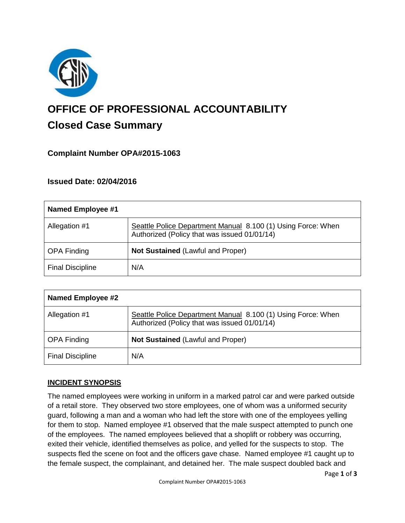

# **OFFICE OF PROFESSIONAL ACCOUNTABILITY Closed Case Summary**

# **Complaint Number OPA#2015-1063**

## **Issued Date: 02/04/2016**

| <b>Named Employee #1</b> |                                                                                                              |
|--------------------------|--------------------------------------------------------------------------------------------------------------|
| Allegation #1            | Seattle Police Department Manual 8.100 (1) Using Force: When<br>Authorized (Policy that was issued 01/01/14) |
| <b>OPA Finding</b>       | <b>Not Sustained (Lawful and Proper)</b>                                                                     |
| <b>Final Discipline</b>  | N/A                                                                                                          |

| <b>Named Employee #2</b> |                                                                                                              |
|--------------------------|--------------------------------------------------------------------------------------------------------------|
| Allegation #1            | Seattle Police Department Manual 8.100 (1) Using Force: When<br>Authorized (Policy that was issued 01/01/14) |
| <b>OPA Finding</b>       | <b>Not Sustained (Lawful and Proper)</b>                                                                     |
| <b>Final Discipline</b>  | N/A                                                                                                          |

## **INCIDENT SYNOPSIS**

The named employees were working in uniform in a marked patrol car and were parked outside of a retail store. They observed two store employees, one of whom was a uniformed security guard, following a man and a woman who had left the store with one of the employees yelling for them to stop. Named employee #1 observed that the male suspect attempted to punch one of the employees. The named employees believed that a shoplift or robbery was occurring, exited their vehicle, identified themselves as police, and yelled for the suspects to stop. The suspects fled the scene on foot and the officers gave chase. Named employee #1 caught up to the female suspect, the complainant, and detained her. The male suspect doubled back and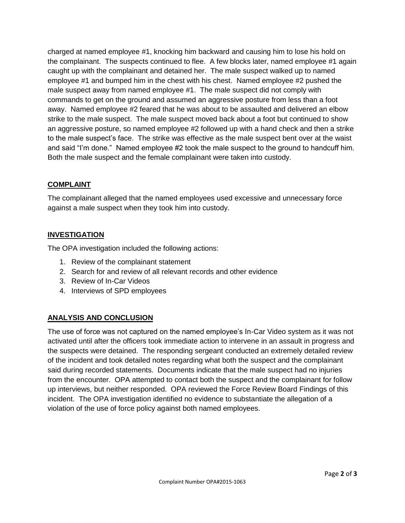charged at named employee #1, knocking him backward and causing him to lose his hold on the complainant. The suspects continued to flee. A few blocks later, named employee #1 again caught up with the complainant and detained her. The male suspect walked up to named employee #1 and bumped him in the chest with his chest. Named employee #2 pushed the male suspect away from named employee #1. The male suspect did not comply with commands to get on the ground and assumed an aggressive posture from less than a foot away. Named employee #2 feared that he was about to be assaulted and delivered an elbow strike to the male suspect. The male suspect moved back about a foot but continued to show an aggressive posture, so named employee #2 followed up with a hand check and then a strike to the male suspect's face. The strike was effective as the male suspect bent over at the waist and said "I'm done." Named employee #2 took the male suspect to the ground to handcuff him. Both the male suspect and the female complainant were taken into custody.

#### **COMPLAINT**

The complainant alleged that the named employees used excessive and unnecessary force against a male suspect when they took him into custody.

#### **INVESTIGATION**

The OPA investigation included the following actions:

- 1. Review of the complainant statement
- 2. Search for and review of all relevant records and other evidence
- 3. Review of In-Car Videos
- 4. Interviews of SPD employees

## **ANALYSIS AND CONCLUSION**

The use of force was not captured on the named employee's In-Car Video system as it was not activated until after the officers took immediate action to intervene in an assault in progress and the suspects were detained. The responding sergeant conducted an extremely detailed review of the incident and took detailed notes regarding what both the suspect and the complainant said during recorded statements. Documents indicate that the male suspect had no injuries from the encounter. OPA attempted to contact both the suspect and the complainant for follow up interviews, but neither responded. OPA reviewed the Force Review Board Findings of this incident. The OPA investigation identified no evidence to substantiate the allegation of a violation of the use of force policy against both named employees.